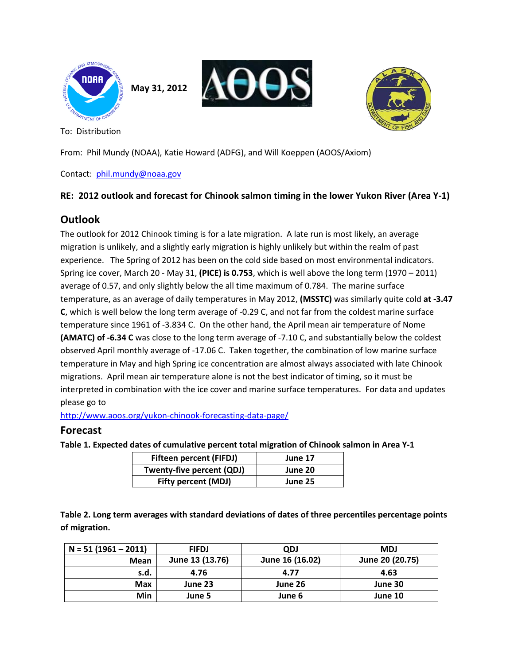

**May 31, 2012**





To: Distribution

From: Phil Mundy (NOAA), Katie Howard (ADFG), and Will Koeppen (AOOS/Axiom)

Contact: [phil.mundy@noaa.gov](mailto:phil.mundy@noaa.gov)

#### **RE: 2012 outlook and forecast for Chinook salmon timing in the lower Yukon River (Area Y-1)**

# **Outlook**

The outlook for 2012 Chinook timing is for a late migration. A late run is most likely, an average migration is unlikely, and a slightly early migration is highly unlikely but within the realm of past experience. The Spring of 2012 has been on the cold side based on most environmental indicators. Spring ice cover, March 20 - May 31, **(PICE) is 0.753**, which is well above the long term (1970 – 2011) average of 0.57, and only slightly below the all time maximum of 0.784. The marine surface temperature, as an average of daily temperatures in May 2012, **(MSSTC)** was similarly quite cold **at -3.47 C**, which is well below the long term average of -0.29 C, and not far from the coldest marine surface temperature since 1961 of -3.834 C. On the other hand, the April mean air temperature of Nome **(AMATC) of -6.34 C** was close to the long term average of -7.10 C, and substantially below the coldest observed April monthly average of -17.06 C. Taken together, the combination of low marine surface temperature in May and high Spring ice concentration are almost always associated with late Chinook migrations. April mean air temperature alone is not the best indicator of timing, so it must be interpreted in combination with the ice cover and marine surface temperatures. For data and updates please go to

<http://www.aoos.org/yukon-chinook-forecasting-data-page/>

#### **Forecast**

**Table 1. Expected dates of cumulative percent total migration of Chinook salmon in Area Y-1** 

| <b>Fifteen percent (FIFDJ)</b> | June 17 |
|--------------------------------|---------|
| Twenty-five percent (QDJ)      | June 20 |
| <b>Fifty percent (MDJ)</b>     | June 25 |

**Table 2. Long term averages with standard deviations of dates of three percentiles percentage points of migration.**

| $N = 51(1961 - 2011)$ | <b>FIFDJ</b>    | <b>ODJ</b>      | <b>MDJ</b>      |
|-----------------------|-----------------|-----------------|-----------------|
| Mean                  | June 13 (13.76) | June 16 (16.02) | June 20 (20.75) |
| s.d.                  | 4.76            | 4.77            | 4.63            |
| Max                   | June 23         | June 26         | June 30         |
| Min                   | June 5          | June 6          | June 10         |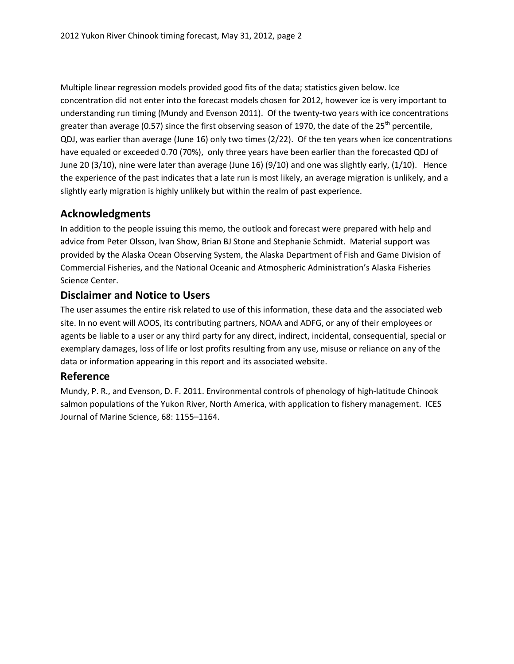Multiple linear regression models provided good fits of the data; statistics given below. Ice concentration did not enter into the forecast models chosen for 2012, however ice is very important to understanding run timing (Mundy and Evenson 2011). Of the twenty-two years with ice concentrations greater than average (0.57) since the first observing season of 1970, the date of the 25<sup>th</sup> percentile, QDJ, was earlier than average (June 16) only two times (2/22). Of the ten years when ice concentrations have equaled or exceeded 0.70 (70%), only three years have been earlier than the forecasted QDJ of June 20 (3/10), nine were later than average (June 16) (9/10) and one was slightly early, (1/10). Hence the experience of the past indicates that a late run is most likely, an average migration is unlikely, and a slightly early migration is highly unlikely but within the realm of past experience.

### **Acknowledgments**

In addition to the people issuing this memo, the outlook and forecast were prepared with help and advice from Peter Olsson, Ivan Show, Brian BJ Stone and Stephanie Schmidt. Material support was provided by the Alaska Ocean Observing System, the Alaska Department of Fish and Game Division of Commercial Fisheries, and the National Oceanic and Atmospheric Administration's Alaska Fisheries Science Center.

### **Disclaimer and Notice to Users**

The user assumes the entire risk related to use of this information, these data and the associated web site. In no event will AOOS, its contributing partners, NOAA and ADFG, or any of their employees or agents be liable to a user or any third party for any direct, indirect, incidental, consequential, special or exemplary damages, loss of life or lost profits resulting from any use, misuse or reliance on any of the data or information appearing in this report and its associated website.

# **Reference**

Mundy, P. R., and Evenson, D. F. 2011. Environmental controls of phenology of high-latitude Chinook salmon populations of the Yukon River, North America, with application to fishery management. ICES Journal of Marine Science, 68: 1155–1164.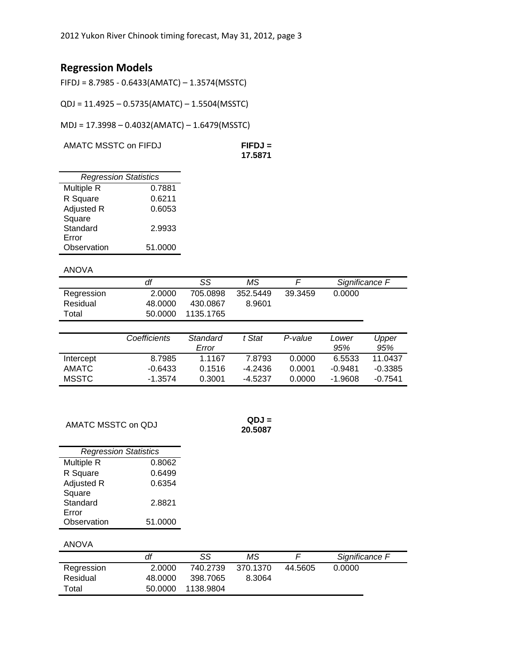# **Regression Models**

FIFDJ = 8.7985 - 0.6433(AMATC) – 1.3574(MSSTC)

QDJ = 11.4925 – 0.5735(AMATC) – 1.5504(MSSTC)

MDJ = 17.3998 – 0.4032(AMATC) – 1.6479(MSSTC)

AMATC MSSTC on FIFDJ **FIFDJ =** 

**17.5871**

| <b>Regression Statistics</b> |         |  |  |  |  |  |
|------------------------------|---------|--|--|--|--|--|
| Multiple R                   | 0.7881  |  |  |  |  |  |
| R Square                     | 0.6211  |  |  |  |  |  |
| Adjusted R                   | 0.6053  |  |  |  |  |  |
| Square                       |         |  |  |  |  |  |
| Standard                     | 2.9933  |  |  |  |  |  |
| Error                        |         |  |  |  |  |  |
| Observation                  | 51.0000 |  |  |  |  |  |

#### ANOVA

| .          |         |           |          |         |                |
|------------|---------|-----------|----------|---------|----------------|
|            | df      | SS        | ΜS       |         | Significance F |
| Regression | 2.0000  | 705.0898  | 352.5449 | 39.3459 | 0.0000         |
| Residual   | 48.0000 | 430.0867  | 8.9601   |         |                |
| Total      | 50.0000 | 1135.1765 |          |         |                |

|           | Coefficients | Standard<br>Error | t Stat  | P-value | Lower<br>95% | Upper<br>95% |
|-----------|--------------|-------------------|---------|---------|--------------|--------------|
| Intercept | 8.7985       | 1.1167            | 7.8793  | 0.0000  | 6.5533       | 11 0437      |
| AMATC.    | $-0.6433$    | 0.1516            | -4.2436 | 0.0001  | -0.9481      | -0.3385      |
| MSSTC.    | $-1.3574$    | 0.3001            | -4.5237 | 0.0000  | -1.9608      | $-0.7541$    |

AMATC MSSTC on QDJ **QDJ =** 

**20.5087**

| <b>Regression Statistics</b> |         |  |  |  |  |
|------------------------------|---------|--|--|--|--|
| Multiple R                   | 0.8062  |  |  |  |  |
| R Square                     | 0.6499  |  |  |  |  |
| Adjusted R                   | 0.6354  |  |  |  |  |
| Square                       |         |  |  |  |  |
| Standard                     | 2.8821  |  |  |  |  |
| Error                        |         |  |  |  |  |
| Observation                  | 51.0000 |  |  |  |  |
|                              |         |  |  |  |  |

#### ANOVA

|            | df      | SS        | ΜS       |         | Significance F |
|------------|---------|-----------|----------|---------|----------------|
| Regression | 2.0000  | 740.2739  | 370.1370 | 44.5605 | 0.0000         |
| Residual   | 48.0000 | 398.7065  | 8.3064   |         |                |
| Total      | 50.0000 | 1138.9804 |          |         |                |